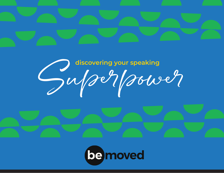

# Superpour speaking

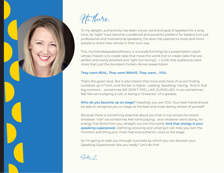

Hi there,

To my delight, authenticity has been a buzz word and goal of speakers for a long time. As "talks" have become a preferred and powerful platform for leaders (not just professional and motivational speakers), the door has opened to more and more people to share their stories in their own way.

This, my friends/speakers/Movers, is a wonderful thing! As a presentation coach whose mission is to create talks that move the world (not to create talks that are perfect and overly polished and 'right but boring') - I LOVE that audiences want more than just the standard chicken-dinner presentation.

# **They want REAL. They want BRAVE. They want… YOU.**

That's the good news. But it also means that more and more of us are finding ourselves up in front, and the bar is higher. Leading. Speaking. Daring. And in that big moment… sometimes WE DON'T FEEL LIKE OURSELVES. It can sometimes feel like we're playing a role, or being a "character" of a speaker.

**Who do you become up on stage?** Hopefully, you are YOU…Your best friend should be able to recognize you on stage as the best and most daring version of yourself!

Because there is something essential about you that is true across the board, whatever "role" we sometimes feel we're playing - and whatever we're doing. An energy that flows from you, straight out into the world. **And that energy is your speaking superpower.** Defining, knowing and utilizing it can help you own the moment and bring your most free and authentic voice to the stage.

So I'm going to walk you through a process by which you can discover your Speaking Superpower! Are you ready? Let's do this!

Sally Z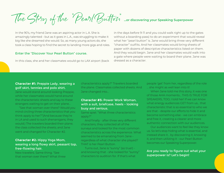The Story of the "Pearl Button" **...or discovering your Speaking Superpower**

In the 90's, my friend Jane was an aspiring actor in L.A. She is amazingly talented - but as it goes in L.A., was struggling to make it big like she dreamed she would. So, as many young actors do, she took a class hoping to find the secret to landing more gigs and roles.

#### Enter the "Discover Your Pearl Button" course.

In this class, she and her classmates would go to LAX airport (back

in the days before 9-11 and you could walk right up to the gates without a boarding pass) to do an experiment that would reveal what her "pearl button" is. Jane would bring three very different "character" outfits. And her classmates would bring sheets of paper with dozens of descriptive characteristics listed on them. And they would begin. Jane and her classmates would walk into a gate where people were waiting to board their plane. Jane was dressed as a character.

## **Character #1:** Preppie Lady, wearing a golf skirt, tennies and polo shirt.

Jane would stand around looking Preppie, while her classmates would hand around the characteristic sheets and say to these strangers waiting to get on their plane…

"See that woman over there? Would you mind circling three characteristics that you think apply to her?"(And because they're in LA and used to such shenanigans, they would.) The travelers boarded their plane; the class collected the sheets; and Jane went and changed for Character #2.

# **Character #2:** Hippy Yoga Mom, wearing a long flowy skirt, peasant top, free-flowing hair.

New travelers. Same thing. "See that woman over there? What three characteristics apply?" Travelers boarded the plane. Classmates collected sheets. And Jane changed into...

## **Character #3:** Power Work Woman, with a suit, briefcase, heels - looking busy and serious.

Same spiel. "What three characteristics apply?"

And finally - after three very different characters, they collected all of the surveys and looked for the most common characteristics across the experience. What seemed to be emanating from Jane regardless of what character she played? THAT is her Pearl Button.

Turns out, Jane is "sunny" (so true!) and knowing that - she looked for "sunny" characters to audition for. If that's what

people 'get' from her, regardless of the role … she might as well lean into it!

When Jane told me this story, it was one of those AHA moments… THIS IS TRUE FOR SPEAKERS, TOO, I told her! If we can know what energy audiences GET from us… that characteristic that is so essential to who we are that - despite our efforts to hide it and become something else - we can embrace and free it, creating a clearer and more authentic connection with our audiences.

Our audiences want to feel like they know us. So let's stop hiding what is essential, and instead share it… by discovering it, knowing it, and then utilizing it - our Pearl Button becomes our Speaking Superpower.

# Are you ready to figure out what your superpower is? Let's begin!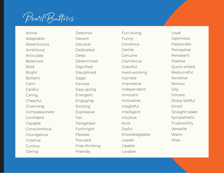Pearl Buttons

Active Adaptable Adventurous Ambitious Articulate Balanced Bold Bright **Brilliant** Calm Careful Caring Cheerful Charming Compassionate Confident Capable Conscientious Courageous **Creative** Curious Daring

Debonair **Decent** Decisive Dedicated Deep Determined Dignified Disciplined Eager Earnest Easy-going Energetic Engaging Exciting Expressive Fair Farsighted Forthright Flexible Focused Free-thinking Friendly

Fun-loving Funny Generous Gentle Genuine Glamorous Graceful Hard-working Humble Impressive Independent Innocent Innovative Insightful Intelligent Intuitive Kind Joyful Knowledgeable Leader Likable Lovable

Loyal **Optimistic** Passionate Perceptive Persistent Positive Quick-witted Resourceful Sensitive Serious Silly Sincere Sharp Skillful Smart Straight-talker Sympathetic Trustworthy Versatile Warm Wise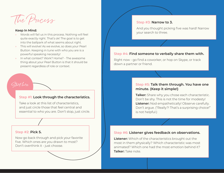The Process

#### **Keep In Mind:**

Start here

- » Words will fail us in this process. Nothing will feel quite exactly right. That's ok! The goal is to get into the ballpark of what seems about right.
- » This will evolve! As we evolve, so does your Pearl Button. Keeping in tune with who you are is a powerful speaking necessity!
- In what context? Work? Home? The awesome thing about your Pearl Button is that it should be present regardless of role or context.

# **Step #1: Look through the characteristics.**

Take a look at this list of characteristics, and just circle those that feel central and essential to who you are. Don't stop, just circle.

#### **Step #2: Pick 5.**

Now go back through and pick your favorite five. Which ones are you drawn to most? Don't overthink it - just choose.

### **Step #3: Narrow to 3.**

And you thought picking five was hard! Narrow your search to three.

# **Step #4: Find someone to verbally share them with.**

Right now - go find a coworker, or hop on Skype, or track down a partner or friend.

# **Step #5: Talk them through. You have one minute. (Keep it simple!)**

**Talker:** Share why you chose each characteristic. Don't be shy. This is not the time for modesty! **Listener:** Nod empathetically! Observe carefully. Don't argue. ("Really?! That's a surprising choice!" is not helpful.)

# **Step #6: Listener gives feedback on observations.**

**Listener:** Which of the characteristics brought out the most in them physically? Which characteristic was most animated? Which one had the most emotion behind it? **Talker:** Take note.